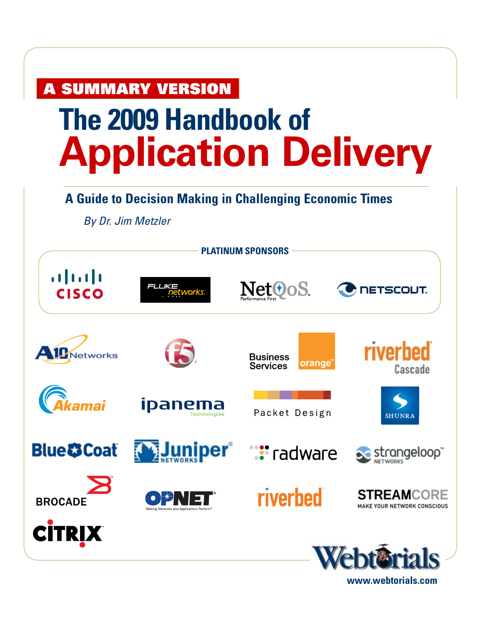# **SUMMARY VERSION**

# **The 2009 Handbook of Application Delivery**

## **A Guide to Decision Making in Challenging Economic Times**

*By Dr. Jim Metzler* 



**www.webtorials.com**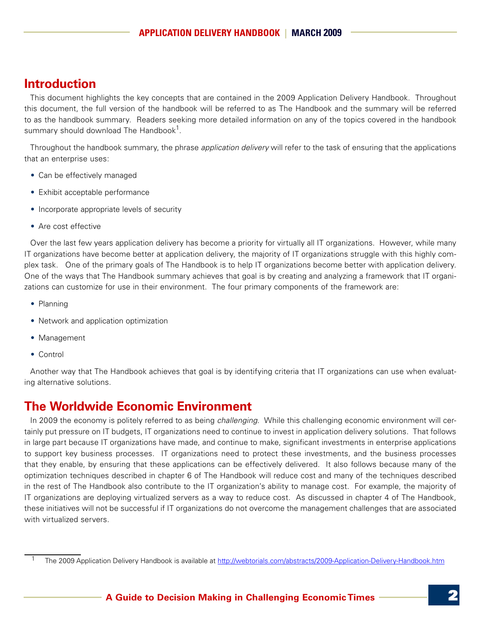## **Introduction**

This document highlights the key concepts that are contained in the 2009 Application Delivery Handbook. Throughout this document, the full version of the handbook will be referred to as The Handbook and the summary will be referred to as the handbook summary. Readers seeking more detailed information on any of the topics covered in the handbook summary should download The Handbook $^1$ .

Throughout the handbook summary, the phrase *application delivery* will refer to the task of ensuring that the applications that an enterprise uses:

- Can be effectively managed
- Exhibit acceptable performance
- Incorporate appropriate levels of security
- Are cost effective

Over the last few years application delivery has become a priority for virtually all IT organizations. However, while many IT organizations have become better at application delivery, the majority of IT organizations struggle with this highly complex task. One of the primary goals of The Handbook is to help IT organizations become better with application delivery. One of the ways that The Handbook summary achieves that goal is by creating and analyzing a framework that IT organizations can customize for use in their environment. The four primary components of the framework are:

- Planning
- Network and application optimization
- Management
- Control

Another way that The Handbook achieves that goal is by identifying criteria that IT organizations can use when evaluating alternative solutions.

#### **The Worldwide Economic Environment**

In 2009 the economy is politely referred to as being *challenging*. While this challenging economic environment will certainly put pressure on IT budgets, IT organizations need to continue to invest in application delivery solutions. That follows in large part because IT organizations have made, and continue to make, significant investments in enterprise applications to support key business processes. IT organizations need to protect these investments, and the business processes that they enable, by ensuring that these applications can be effectively delivered. It also follows because many of the optimization techniques described in chapter 6 of The Handbook will reduce cost and many of the techniques described in the rest of The Handbook also contribute to the IT organization's ability to manage cost. For example, the majority of IT organizations are deploying virtualized servers as a way to reduce cost. As discussed in chapter 4 of The Handbook, these initiatives will not be successful if IT organizations do not overcome the management challenges that are associated with virtualized servers.

<sup>1</sup> The 2009 Application Delivery Handbook is available at<http://webtorials.com/abstracts/2009-Application-Delivery-Handbook.htm>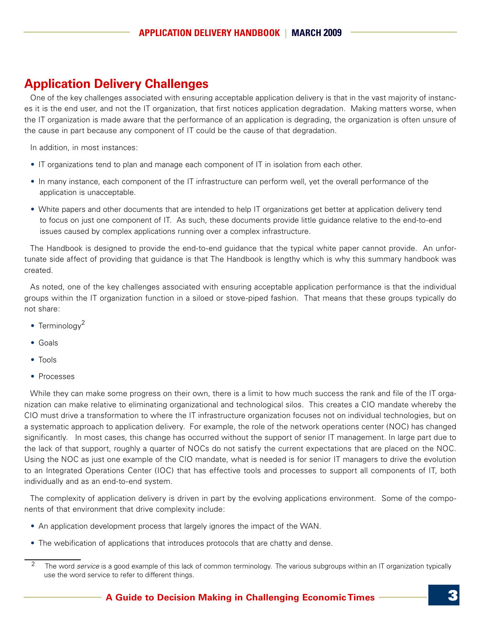## **Application Delivery Challenges**

One of the key challenges associated with ensuring acceptable application delivery is that in the vast majority of instances it is the end user, and not the IT organization, that first notices application degradation. Making matters worse, when the IT organization is made aware that the performance of an application is degrading, the organization is often unsure of the cause in part because any component of IT could be the cause of that degradation.

In addition, in most instances:

- IT organizations tend to plan and manage each component of IT in isolation from each other.
- • In many instance, each component of the IT infrastructure can perform well, yet the overall performance of the application is unacceptable.
- White papers and other documents that are intended to help IT organizations get better at application delivery tend to focus on just one component of IT. As such, these documents provide little guidance relative to the end-to-end issues caused by complex applications running over a complex infrastructure.

The Handbook is designed to provide the end-to-end guidance that the typical white paper cannot provide. An unfortunate side affect of providing that guidance is that The Handbook is lengthy which is why this summary handbook was created.

As noted, one of the key challenges associated with ensuring acceptable application performance is that the individual groups within the IT organization function in a siloed or stove-piped fashion. That means that these groups typically do not share:

- Terminology<sup>2</sup>
- • Goals
- • Tools
- Processes

While they can make some progress on their own, there is a limit to how much success the rank and file of the IT organization can make relative to eliminating organizational and technological silos. This creates a CIO mandate whereby the CIO must drive a transformation to where the IT infrastructure organization focuses not on individual technologies, but on a systematic approach to application delivery. For example, the role of the network operations center (NOC) has changed significantly. In most cases, this change has occurred without the support of senior IT management. In large part due to the lack of that support, roughly a quarter of NOCs do not satisfy the current expectations that are placed on the NOC. Using the NOC as just one example of the CIO mandate, what is needed is for senior IT managers to drive the evolution to an Integrated Operations Center (IOC) that has effective tools and processes to support all components of IT, both individually and as an end-to-end system.

The complexity of application delivery is driven in part by the evolving applications environment. Some of the components of that environment that drive complexity include:

- An application development process that largely ignores the impact of the WAN.
- The webification of applications that introduces protocols that are chatty and dense.

<sup>&</sup>lt;sup>2</sup> The word *service* is a good example of this lack of common terminology. The various subgroups within an IT organization typically use the word service to refer to different things.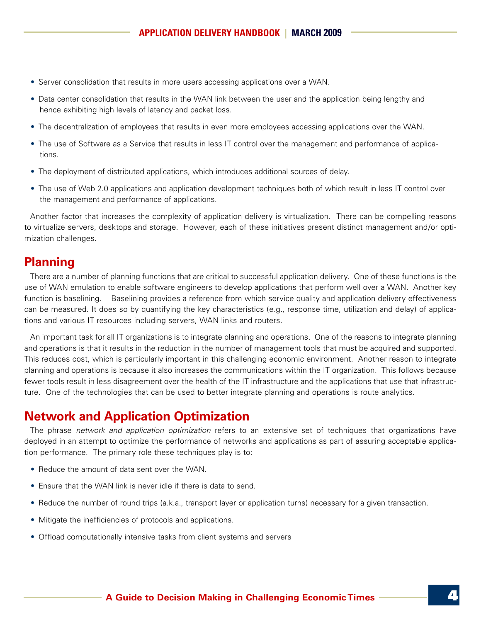- Server consolidation that results in more users accessing applications over a WAN.
- Data center consolidation that results in the WAN link between the user and the application being lengthy and hence exhibiting high levels of latency and packet loss.
- The decentralization of employees that results in even more employees accessing applications over the WAN.
- The use of Software as a Service that results in less IT control over the management and performance of applications.
- The deployment of distributed applications, which introduces additional sources of delay.
- The use of Web 2.0 applications and application development techniques both of which result in less IT control over the management and performance of applications.

Another factor that increases the complexity of application delivery is virtualization. There can be compelling reasons to virtualize servers, desktops and storage. However, each of these initiatives present distinct management and/or optimization challenges.

## **Planning**

There are a number of planning functions that are critical to successful application delivery. One of these functions is the use of WAN emulation to enable software engineers to develop applications that perform well over a WAN. Another key function is baselining. Baselining provides a reference from which service quality and application delivery effectiveness can be measured. It does so by quantifying the key characteristics (e.g., response time, utilization and delay) of applications and various IT resources including servers, WAN links and routers.

An important task for all IT organizations is to integrate planning and operations. One of the reasons to integrate planning and operations is that it results in the reduction in the number of management tools that must be acquired and supported. This reduces cost, which is particularly important in this challenging economic environment. Another reason to integrate planning and operations is because it also increases the communications within the IT organization. This follows because fewer tools result in less disagreement over the health of the IT infrastructure and the applications that use that infrastructure. One of the technologies that can be used to better integrate planning and operations is route analytics.

### **Network and Application Optimization**

The phrase *network and application optimization* refers to an extensive set of techniques that organizations have deployed in an attempt to optimize the performance of networks and applications as part of assuring acceptable application performance. The primary role these techniques play is to:

- Reduce the amount of data sent over the WAN.
- Ensure that the WAN link is never idle if there is data to send.
- Reduce the number of round trips (a.k.a., transport layer or application turns) necessary for a given transaction.
- Mitigate the inefficiencies of protocols and applications.
- Offload computationally intensive tasks from client systems and servers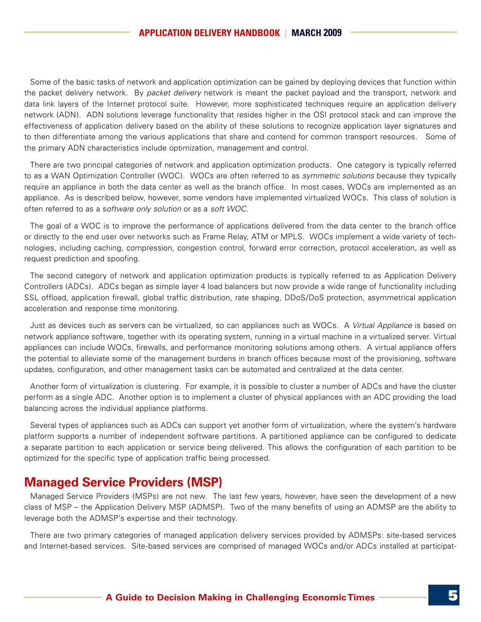Some of the basic tasks of network and application optimization can be gained by deploying devices that function within the packet delivery network. By *packet delivery* network is meant the packet payload and the transport, network and data link layers of the Internet protocol suite. However, more sophisticated techniques require an application delivery network (ADN). ADN solutions leverage functionality that resides higher in the OSI protocol stack and can improve the effectiveness of application delivery based on the ability of these solutions to recognize application layer signatures and to then differentiate among the various applications that share and contend for common transport resources. Some of the primary ADN characteristics include optimization, management and control.

There are two principal categories of network and application optimization products. One category is typically referred to as a WAN Optimization Controller (WOC). WOCs are often referred to as *symmetric solutions* because they typically require an appliance in both the data center as well as the branch office. In most cases, WOCs are implemented as an appliance. As is described below, however, some vendors have implemented virtualized WOCs. This class of solution is often referred to as a s*oftware only solution* or as a *soft WOC*.

The goal of a WOC is to improve the performance of applications delivered from the data center to the branch office or directly to the end user over networks such as Frame Relay, ATM or MPLS. WOCs implement a wide variety of technologies, including caching, compression, congestion control, forward error correction, protocol acceleration, as well as request prediction and spoofing.

The second category of network and application optimization products is typically referred to as Application Delivery Controllers (ADCs). ADCs began as simple layer 4 load balancers but now provide a wide range of functionality including SSL offload, application firewall, global traffic distribution, rate shaping, DDoS/DoS protection, asymmetrical application acceleration and response time monitoring.

Just as devices such as servers can be virtualized, so can appliances such as WOCs. A *Virtual Appliance* is based on network appliance software, together with its operating system, running in a virtual machine in a virtualized server. Virtual appliances can include WOCs, firewalls, and performance monitoring solutions among others. A virtual appliance offers the potential to alleviate some of the management burdens in branch offices because most of the provisioning, software updates, configuration, and other management tasks can be automated and centralized at the data center.

Another form of virtualization is clustering. For example, it is possible to cluster a number of ADCs and have the cluster perform as a single ADC. Another option is to implement a cluster of physical appliances with an ADC providing the load balancing across the individual appliance platforms.

Several types of appliances such as ADCs can support yet another form of virtualization, where the system's hardware platform supports a number of independent software partitions. A partitioned appliance can be configured to dedicate a separate partition to each application or service being delivered. This allows the configuration of each partition to be optimized for the specific type of application traffic being processed.

#### **Managed Service Providers (MSP)**

Managed Service Providers (MSPs) are not new. The last few years, however, have seen the development of a new class of MSP – the Application Delivery MSP (ADMSP). Two of the many benefits of using an ADMSP are the ability to leverage both the ADMSP's expertise and their technology.

There are two primary categories of managed application delivery services provided by ADMSPs: site-based services and Internet-based services. Site-based services are comprised of managed WOCs and/or ADCs installed at participat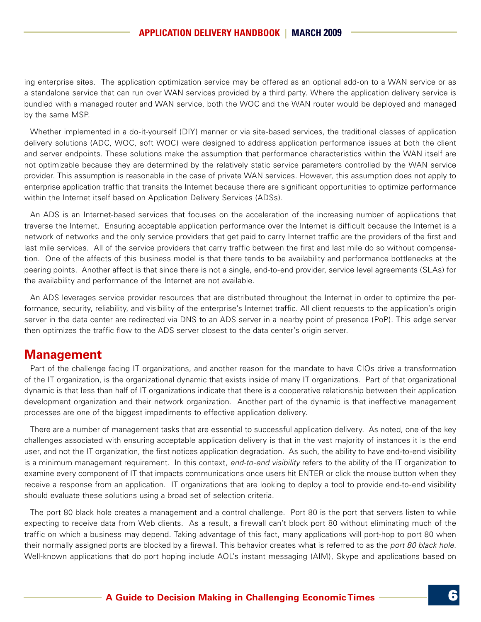ing enterprise sites. The application optimization service may be offered as an optional add-on to a WAN service or as a standalone service that can run over WAN services provided by a third party. Where the application delivery service is bundled with a managed router and WAN service, both the WOC and the WAN router would be deployed and managed by the same MSP.

Whether implemented in a do-it-yourself (DIY) manner or via site-based services, the traditional classes of application delivery solutions (ADC, WOC, soft WOC) were designed to address application performance issues at both the client and server endpoints. These solutions make the assumption that performance characteristics within the WAN itself are not optimizable because they are determined by the relatively static service parameters controlled by the WAN service provider. This assumption is reasonable in the case of private WAN services. However, this assumption does not apply to enterprise application traffic that transits the Internet because there are significant opportunities to optimize performance within the Internet itself based on Application Delivery Services (ADSs).

An ADS is an Internet-based services that focuses on the acceleration of the increasing number of applications that traverse the Internet. Ensuring acceptable application performance over the Internet is difficult because the Internet is a network of networks and the only service providers that get paid to carry Internet traffic are the providers of the first and last mile services. All of the service providers that carry traffic between the first and last mile do so without compensation. One of the affects of this business model is that there tends to be availability and performance bottlenecks at the peering points. Another affect is that since there is not a single, end-to-end provider, service level agreements (SLAs) for the availability and performance of the Internet are not available.

An ADS leverages service provider resources that are distributed throughout the Internet in order to optimize the performance, security, reliability, and visibility of the enterprise's Internet traffic. All client requests to the application's origin server in the data center are redirected via DNS to an ADS server in a nearby point of presence (PoP). This edge server then optimizes the traffic flow to the ADS server closest to the data center's origin server.

#### **Management**

Part of the challenge facing IT organizations, and another reason for the mandate to have CIOs drive a transformation of the IT organization, is the organizational dynamic that exists inside of many IT organizations. Part of that organizational dynamic is that less than half of IT organizations indicate that there is a cooperative relationship between their application development organization and their network organization. Another part of the dynamic is that ineffective management processes are one of the biggest impediments to effective application delivery.

There are a number of management tasks that are essential to successful application delivery. As noted, one of the key challenges associated with ensuring acceptable application delivery is that in the vast majority of instances it is the end user, and not the IT organization, the first notices application degradation. As such, the ability to have end-to-end visibility is a minimum management requirement. In this context, *end-to-end visibility* refers to the ability of the IT organization to examine every component of IT that impacts communications once users hit ENTER or click the mouse button when they receive a response from an application. IT organizations that are looking to deploy a tool to provide end-to-end visibility should evaluate these solutions using a broad set of selection criteria.

The port 80 black hole creates a management and a control challenge. Port 80 is the port that servers listen to while expecting to receive data from Web clients. As a result, a firewall can't block port 80 without eliminating much of the traffic on which a business may depend. Taking advantage of this fact, many applications will port-hop to port 80 when their normally assigned ports are blocked by a firewall. This behavior creates what is referred to as the *port 80 black hole*. Well-known applications that do port hoping include AOL's instant messaging (AIM), Skype and applications based on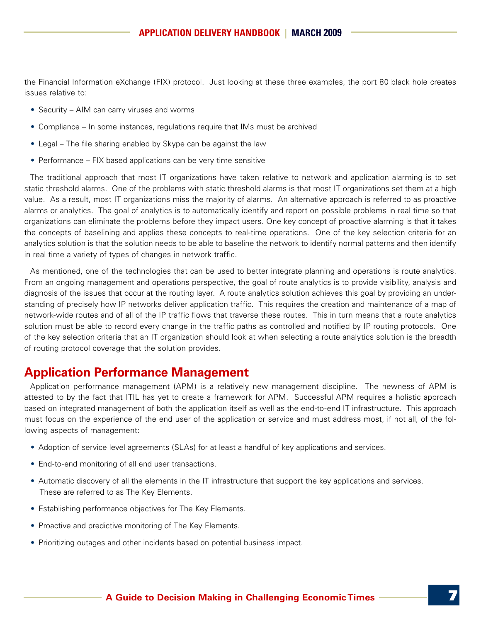the Financial Information eXchange (FIX) protocol. Just looking at these three examples, the port 80 black hole creates issues relative to:

- Security AIM can carry viruses and worms
- Compliance In some instances, regulations require that IMs must be archived
- Legal The file sharing enabled by Skype can be against the law
- Performance  $-$  FIX based applications can be very time sensitive

The traditional approach that most IT organizations have taken relative to network and application alarming is to set static threshold alarms. One of the problems with static threshold alarms is that most IT organizations set them at a high value. As a result, most IT organizations miss the majority of alarms. An alternative approach is referred to as proactive alarms or analytics. The goal of analytics is to automatically identify and report on possible problems in real time so that organizations can eliminate the problems before they impact users. One key concept of proactive alarming is that it takes the concepts of baselining and applies these concepts to real-time operations. One of the key selection criteria for an analytics solution is that the solution needs to be able to baseline the network to identify normal patterns and then identify in real time a variety of types of changes in network traffic.

As mentioned, one of the technologies that can be used to better integrate planning and operations is route analytics. From an ongoing management and operations perspective, the goal of route analytics is to provide visibility, analysis and diagnosis of the issues that occur at the routing layer. A route analytics solution achieves this goal by providing an understanding of precisely how IP networks deliver application traffic. This requires the creation and maintenance of a map of network-wide routes and of all of the IP traffic flows that traverse these routes. This in turn means that a route analytics solution must be able to record every change in the traffic paths as controlled and notified by IP routing protocols. One of the key selection criteria that an IT organization should look at when selecting a route analytics solution is the breadth of routing protocol coverage that the solution provides.

## **Application Performance Management**

Application performance management (APM) is a relatively new management discipline. The newness of APM is attested to by the fact that ITIL has yet to create a framework for APM. Successful APM requires a holistic approach based on integrated management of both the application itself as well as the end-to-end IT infrastructure. This approach must focus on the experience of the end user of the application or service and must address most, if not all, of the following aspects of management:

- Adoption of service level agreements (SLAs) for at least a handful of key applications and services.
- End-to-end monitoring of all end user transactions.
- Automatic discovery of all the elements in the IT infrastructure that support the key applications and services. These are referred to as The Key Elements.
- Establishing performance objectives for The Key Elements.
- Proactive and predictive monitoring of The Key Elements.
- Prioritizing outages and other incidents based on potential business impact.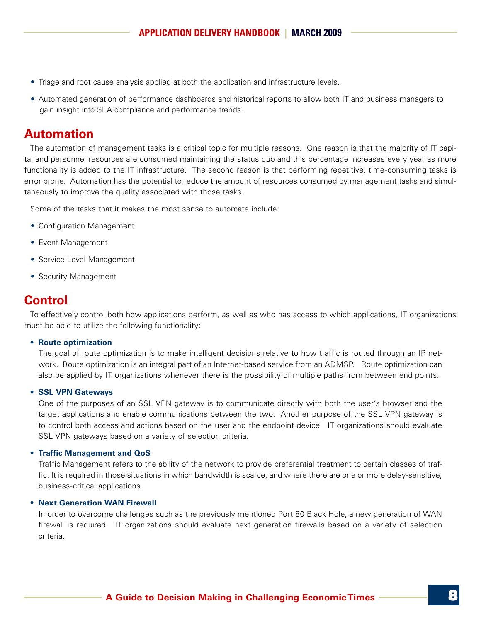- Triage and root cause analysis applied at both the application and infrastructure levels.
- • Automated generation of performance dashboards and historical reports to allow both IT and business managers to gain insight into SLA compliance and performance trends.

#### **Automation**

The automation of management tasks is a critical topic for multiple reasons. One reason is that the majority of IT capital and personnel resources are consumed maintaining the status quo and this percentage increases every year as more functionality is added to the IT infrastructure. The second reason is that performing repetitive, time-consuming tasks is error prone. Automation has the potential to reduce the amount of resources consumed by management tasks and simultaneously to improve the quality associated with those tasks.

Some of the tasks that it makes the most sense to automate include:

- Configuration Management
- Event Management
- Service Level Management
- Security Management

### **Control**

To effectively control both how applications perform, as well as who has access to which applications, IT organizations must be able to utilize the following functionality:

#### **• Route optimization**

The goal of route optimization is to make intelligent decisions relative to how traffic is routed through an IP network. Route optimization is an integral part of an Internet-based service from an ADMSP. Route optimization can also be applied by IT organizations whenever there is the possibility of multiple paths from between end points.

#### **• SSL VPN Gateways**

One of the purposes of an SSL VPN gateway is to communicate directly with both the user's browser and the target applications and enable communications between the two. Another purpose of the SSL VPN gateway is to control both access and actions based on the user and the endpoint device. IT organizations should evaluate SSL VPN gateways based on a variety of selection criteria.

#### **• Traffic Management and QoS**

Traffic Management refers to the ability of the network to provide preferential treatment to certain classes of traffic. It is required in those situations in which bandwidth is scarce, and where there are one or more delay-sensitive, business-critical applications.

#### **• Next Generation WAN Firewall**

In order to overcome challenges such as the previously mentioned Port 80 Black Hole, a new generation of WAN firewall is required. IT organizations should evaluate next generation firewalls based on a variety of selection criteria.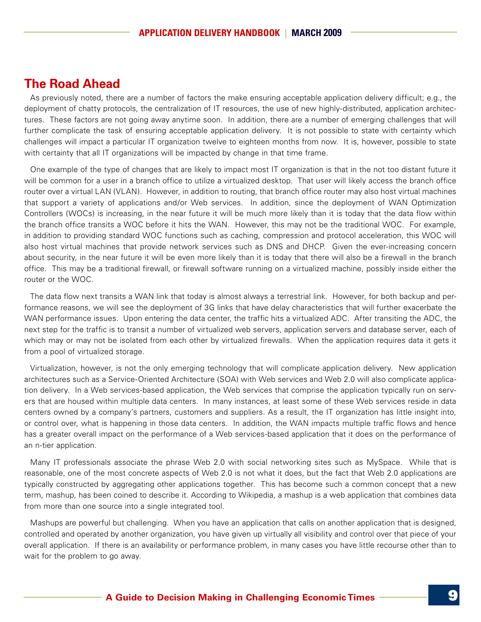#### **The Road Ahead**

As previously noted, there are a number of factors the make ensuring acceptable application delivery difficult; e.g., the deployment of chatty protocols, the centralization of IT resources, the use of new highly-distributed, application architectures. These factors are not going away anytime soon. In addition, there are a number of emerging challenges that will further complicate the task of ensuring acceptable application delivery. It is not possible to state with certainty which challenges will impact a particular IT organization twelve to eighteen months from now. It is, however, possible to state with certainty that all IT organizations will be impacted by change in that time frame.

One example of the type of changes that are likely to impact most IT organization is that in the not too distant future it will be common for a user in a branch office to utilize a virtualized desktop. That user will likely access the branch office router over a virtual LAN (VLAN). However, in addition to routing, that branch office router may also host virtual machines that support a variety of applications and/or Web services. In addition, since the deployment of WAN Optimization Controllers (WOCs) is increasing, in the near future it will be much more likely than it is today that the data flow within the branch office transits a WOC before it hits the WAN. However, this may not be the traditional WOC. For example, in addition to providing standard WOC functions such as caching, compression and protocol acceleration, this WOC will also host virtual machines that provide network services such as DNS and DHCP. Given the ever-increasing concern about security, in the near future it will be even more likely than it is today that there will also be a firewall in the branch office. This may be a traditional firewall, or firewall software running on a virtualized machine, possibly inside either the router or the WOC.

The data flow next transits a WAN link that today is almost always a terrestrial link. However, for both backup and performance reasons, we will see the deployment of 3G links that have delay characteristics that will further exacerbate the WAN performance issues. Upon entering the data center, the traffic hits a virtualized ADC. After transiting the ADC, the next step for the traffic is to transit a number of virtualized web servers, application servers and database server, each of which may or may not be isolated from each other by virtualized firewalls. When the application requires data it gets it from a pool of virtualized storage.

Virtualization, however, is not the only emerging technology that will complicate application delivery. New application architectures such as a Service-Oriented Architecture (SOA) with Web services and Web 2.0 will also complicate application delivery. In a Web services-based application, the Web services that comprise the application typically run on servers that are housed within multiple data centers. In many instances, at least some of these Web services reside in data centers owned by a company's partners, customers and suppliers. As a result, the IT organization has little insight into, or control over, what is happening in those data centers. In addition, the WAN impacts multiple traffic flows and hence has a greater overall impact on the performance of a Web services-based application that it does on the performance of an n-tier application.

Many IT professionals associate the phrase Web 2.0 with social networking sites such as MySpace. While that is reasonable, one of the most concrete aspects of Web 2.0 is not what it does, but the fact that Web 2.0 applications are typically constructed by aggregating other applications together. This has become such a common concept that a new term, mashup, has been coined to describe it. According to Wikipedia, a mashup is a web application that combines data from more than one source into a single integrated tool.

Mashups are powerful but challenging. When you have an application that calls on another application that is designed, controlled and operated by another organization, you have given up virtually all visibility and control over that piece of your overall application. If there is an availability or performance problem, in many cases you have little recourse other than to wait for the problem to go away.